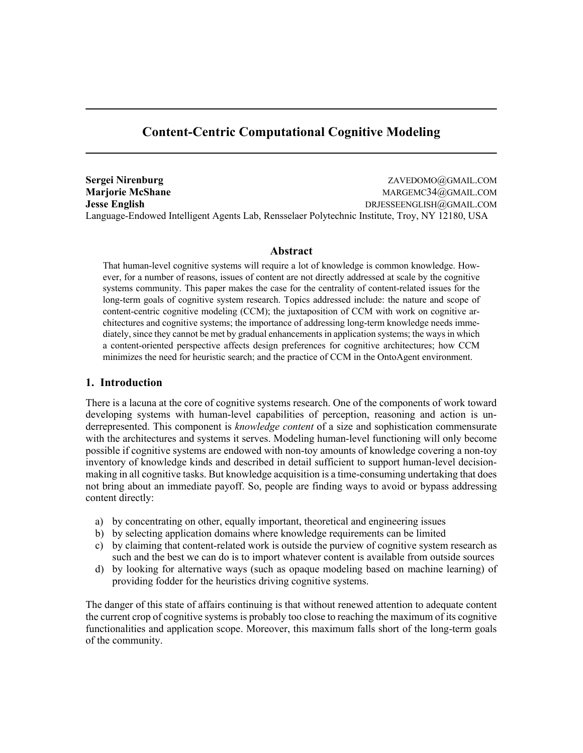# **Content-Centric Computational Cognitive Modeling**

**Sergei Nirenburg** ZAVEDOMO@GMAIL.COM **Marjorie McShane** Margorie **Margorie McShane** Margorie McShane Margorie McShane Margorie McShane Margorie McShane Margorie McShane Margorie McShane Margorie McShane McShane McShane McShane McShane McShane McShane McShane **Jesse English** DRJESSEENGLISH@GMAIL.COM Language-Endowed Intelligent Agents Lab, Rensselaer Polytechnic Institute, Troy, NY 12180, USA

### **Abstract**

That human-level cognitive systems will require a lot of knowledge is common knowledge. However, for a number of reasons, issues of content are not directly addressed at scale by the cognitive systems community. This paper makes the case for the centrality of content-related issues for the long-term goals of cognitive system research. Topics addressed include: the nature and scope of content-centric cognitive modeling (CCM); the juxtaposition of CCM with work on cognitive architectures and cognitive systems; the importance of addressing long-term knowledge needs immediately, since they cannot be met by gradual enhancementsin application systems; the ways in which a content-oriented perspective affects design preferences for cognitive architectures; how CCM minimizes the need for heuristic search; and the practice of CCM in the OntoAgent environment.

# **1. Introduction**

There is a lacuna at the core of cognitive systems research. One of the components of work toward developing systems with human-level capabilities of perception, reasoning and action is underrepresented. This component is *knowledge content* of a size and sophistication commensurate with the architectures and systems it serves. Modeling human-level functioning will only become possible if cognitive systems are endowed with non-toy amounts of knowledge covering a non-toy inventory of knowledge kinds and described in detail sufficient to support human-level decisionmaking in all cognitive tasks. But knowledge acquisition is a time-consuming undertaking that does not bring about an immediate payoff. So, people are finding ways to avoid or bypass addressing content directly:

- a) by concentrating on other, equally important, theoretical and engineering issues
- b) by selecting application domains where knowledge requirements can be limited
- c) by claiming that content-related work is outside the purview of cognitive system research as such and the best we can do is to import whatever content is available from outside sources
- d) by looking for alternative ways (such as opaque modeling based on machine learning) of providing fodder for the heuristics driving cognitive systems.

The danger of this state of affairs continuing is that without renewed attention to adequate content the current crop of cognitive systems is probably too close to reaching the maximum of its cognitive functionalities and application scope. Moreover, this maximum falls short of the long-term goals of the community.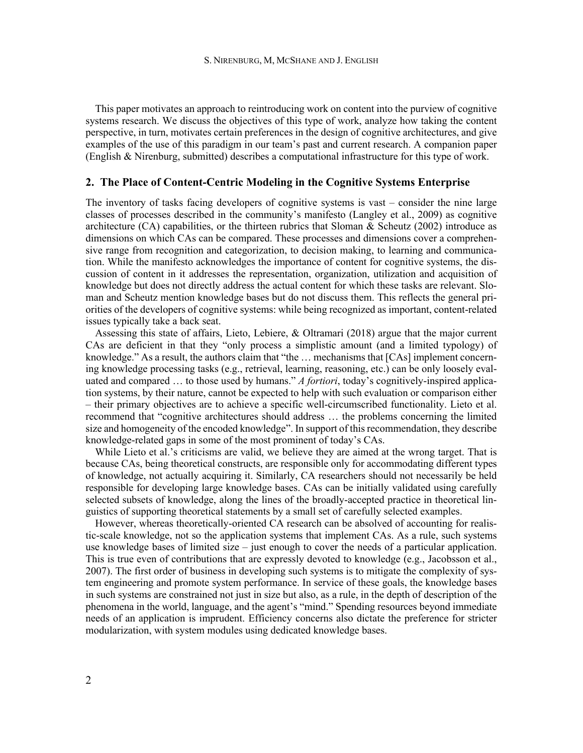This paper motivates an approach to reintroducing work on content into the purview of cognitive systems research. We discuss the objectives of this type of work, analyze how taking the content perspective, in turn, motivates certain preferences in the design of cognitive architectures, and give examples of the use of this paradigm in our team's past and current research. A companion paper (English & Nirenburg, submitted) describes a computational infrastructure for this type of work.

#### **2. The Place of Content-Centric Modeling in the Cognitive Systems Enterprise**

The inventory of tasks facing developers of cognitive systems is vast – consider the nine large classes of processes described in the community's manifesto (Langley et al., 2009) as cognitive architecture  $(CA)$  capabilities, or the thirteen rubrics that Sloman & Scheutz (2002) introduce as dimensions on which CAs can be compared. These processes and dimensions cover a comprehensive range from recognition and categorization, to decision making, to learning and communication. While the manifesto acknowledges the importance of content for cognitive systems, the discussion of content in it addresses the representation, organization, utilization and acquisition of knowledge but does not directly address the actual content for which these tasks are relevant. Sloman and Scheutz mention knowledge bases but do not discuss them. This reflects the general priorities of the developers of cognitive systems: while being recognized as important, content-related issues typically take a back seat.

Assessing this state of affairs, Lieto, Lebiere, & Oltramari (2018) argue that the major current CAs are deficient in that they "only process a simplistic amount (and a limited typology) of knowledge." As a result, the authors claim that "the ... mechanisms that [CAs] implement concerning knowledge processing tasks (e.g., retrieval, learning, reasoning, etc.) can be only loosely evaluated and compared … to those used by humans." *A fortiori*, today's cognitively-inspired application systems, by their nature, cannot be expected to help with such evaluation or comparison either – their primary objectives are to achieve a specific well-circumscribed functionality. Lieto et al. recommend that "cognitive architectures should address … the problems concerning the limited size and homogeneity of the encoded knowledge". In support of this recommendation, they describe knowledge-related gaps in some of the most prominent of today's CAs.

While Lieto et al.'s criticisms are valid, we believe they are aimed at the wrong target. That is because CAs, being theoretical constructs, are responsible only for accommodating different types of knowledge, not actually acquiring it. Similarly, CA researchers should not necessarily be held responsible for developing large knowledge bases. CAs can be initially validated using carefully selected subsets of knowledge, along the lines of the broadly-accepted practice in theoretical linguistics of supporting theoretical statements by a small set of carefully selected examples.

However, whereas theoretically-oriented CA research can be absolved of accounting for realistic-scale knowledge, not so the application systems that implement CAs. As a rule, such systems use knowledge bases of limited size – just enough to cover the needs of a particular application. This is true even of contributions that are expressly devoted to knowledge (e.g., Jacobsson et al., 2007). The first order of business in developing such systems is to mitigate the complexity of system engineering and promote system performance. In service of these goals, the knowledge bases in such systems are constrained not just in size but also, as a rule, in the depth of description of the phenomena in the world, language, and the agent's "mind." Spending resources beyond immediate needs of an application is imprudent. Efficiency concerns also dictate the preference for stricter modularization, with system modules using dedicated knowledge bases.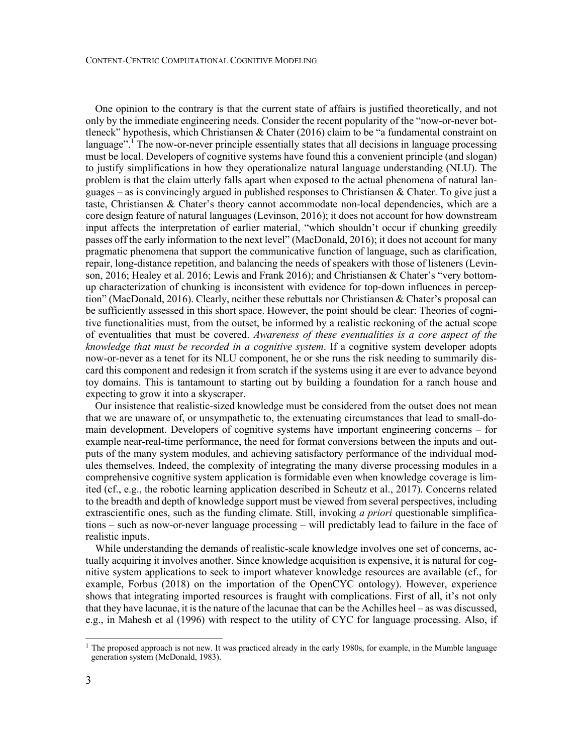One opinion to the contrary is that the current state of affairs is justified theoretically, and not only by the immediate engineering needs. Consider the recent popularity of the "now-or-never bottleneck" hypothesis, which Christiansen & Chater (2016) claim to be "a fundamental constraint on language".<sup>1</sup> The now-or-never principle essentially states that all decisions in language processing must be local. Developers of cognitive systems have found this a convenient principle (and slogan) to justify simplifications in how they operationalize natural language understanding (NLU). The problem is that the claim utterly falls apart when exposed to the actual phenomena of natural languages – as is convincingly argued in published responses to Christiansen  $\&$  Chater. To give just a taste, Christiansen & Chater's theory cannot accommodate non-local dependencies, which are a core design feature of natural languages (Levinson, 2016); it does not account for how downstream input affects the interpretation of earlier material, "which shouldn't occur if chunking greedily passes off the early information to the next level" (MacDonald, 2016); it does not account for many pragmatic phenomena that support the communicative function of language, such as clarification, repair, long-distance repetition, and balancing the needs of speakers with those of listeners (Levinson, 2016; Healey et al. 2016; Lewis and Frank 2016); and Christiansen & Chater's "very bottomup characterization of chunking is inconsistent with evidence for top-down influences in perception" (MacDonald, 2016). Clearly, neither these rebuttals nor Christiansen & Chater's proposal can be sufficiently assessed in this short space. However, the point should be clear: Theories of cognitive functionalities must, from the outset, be informed by a realistic reckoning of the actual scope of eventualities that must be covered. *Awareness of these eventualities is a core aspect of the knowledge that must be recorded in a cognitive system*. If a cognitive system developer adopts now-or-never as a tenet for its NLU component, he or she runs the risk needing to summarily discard this component and redesign it from scratch if the systems using it are ever to advance beyond toy domains. This is tantamount to starting out by building a foundation for a ranch house and expecting to grow it into a skyscraper.

Our insistence that realistic-sized knowledge must be considered from the outset does not mean that we are unaware of, or unsympathetic to, the extenuating circumstances that lead to small-domain development. Developers of cognitive systems have important engineering concerns – for example near-real-time performance, the need for format conversions between the inputs and outputs of the many system modules, and achieving satisfactory performance of the individual modules themselves. Indeed, the complexity of integrating the many diverse processing modules in a comprehensive cognitive system application is formidable even when knowledge coverage is limited (cf., e.g., the robotic learning application described in Scheutz et al., 2017). Concerns related to the breadth and depth of knowledge support must be viewed from several perspectives, including extrascientific ones, such as the funding climate. Still, invoking *a priori* questionable simplifications – such as now-or-never language processing – will predictably lead to failure in the face of realistic inputs.

While understanding the demands of realistic-scale knowledge involves one set of concerns, actually acquiring it involves another. Since knowledge acquisition is expensive, it is natural for cognitive system applications to seek to import whatever knowledge resources are available (cf., for example, Forbus (2018) on the importation of the OpenCYC ontology). However, experience shows that integrating imported resources is fraught with complications. First of all, it's not only that they have lacunae, it is the nature of the lacunae that can be the Achilles heel – as was discussed, e.g., in Mahesh et al (1996) with respect to the utility of CYC for language processing. Also, if

<sup>&</sup>lt;sup>1</sup> The proposed approach is not new. It was practiced already in the early 1980s, for example, in the Mumble language generation system (McDonald, 1983).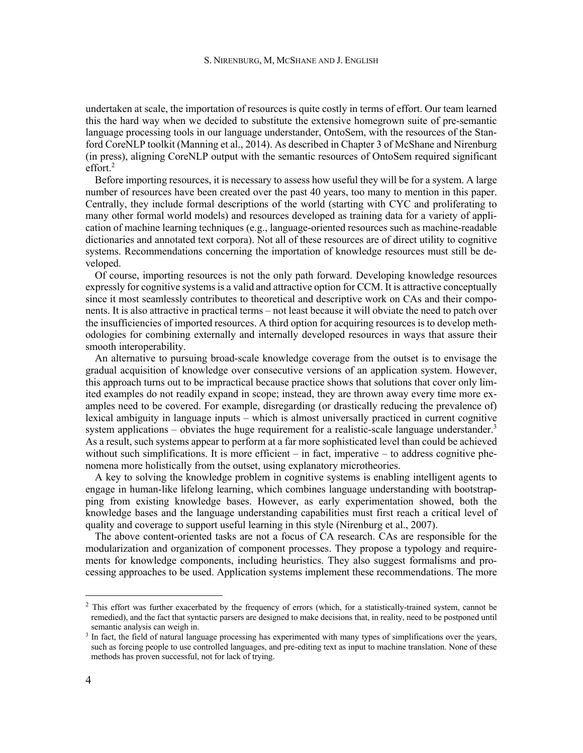undertaken at scale, the importation of resources is quite costly in terms of effort. Our team learned this the hard way when we decided to substitute the extensive homegrown suite of pre-semantic language processing tools in our language understander, OntoSem, with the resources of the Stanford CoreNLP toolkit (Manning et al., 2014). As described in Chapter 3 of McShane and Nirenburg (in press), aligning CoreNLP output with the semantic resources of OntoSem required significant effort.2

Before importing resources, it is necessary to assess how useful they will be for a system. A large number of resources have been created over the past 40 years, too many to mention in this paper. Centrally, they include formal descriptions of the world (starting with CYC and proliferating to many other formal world models) and resources developed as training data for a variety of application of machine learning techniques (e.g., language-oriented resources such as machine-readable dictionaries and annotated text corpora). Not all of these resources are of direct utility to cognitive systems. Recommendations concerning the importation of knowledge resources must still be developed.

Of course, importing resources is not the only path forward. Developing knowledge resources expressly for cognitive systems is a valid and attractive option for CCM. It is attractive conceptually since it most seamlessly contributes to theoretical and descriptive work on CAs and their components. It is also attractive in practical terms – not least because it will obviate the need to patch over the insufficiencies of imported resources. A third option for acquiring resources is to develop methodologies for combining externally and internally developed resources in ways that assure their smooth interoperability.

An alternative to pursuing broad-scale knowledge coverage from the outset is to envisage the gradual acquisition of knowledge over consecutive versions of an application system. However, this approach turns out to be impractical because practice shows that solutions that cover only limited examples do not readily expand in scope; instead, they are thrown away every time more examples need to be covered. For example, disregarding (or drastically reducing the prevalence of) lexical ambiguity in language inputs – which is almost universally practiced in current cognitive system applications – obviates the huge requirement for a realistic-scale language understander.<sup>3</sup> As a result, such systems appear to perform at a far more sophisticated level than could be achieved without such simplifications. It is more efficient  $-$  in fact, imperative  $-$  to address cognitive phenomena more holistically from the outset, using explanatory microtheories.

A key to solving the knowledge problem in cognitive systems is enabling intelligent agents to engage in human-like lifelong learning, which combines language understanding with bootstrapping from existing knowledge bases. However, as early experimentation showed, both the knowledge bases and the language understanding capabilities must first reach a critical level of quality and coverage to support useful learning in this style (Nirenburg et al., 2007).

The above content-oriented tasks are not a focus of CA research. CAs are responsible for the modularization and organization of component processes. They propose a typology and requirements for knowledge components, including heuristics. They also suggest formalisms and processing approaches to be used. Application systems implement these recommendations. The more

 $2$  This effort was further exacerbated by the frequency of errors (which, for a statistically-trained system, cannot be remedied), and the fact that syntactic parsers are designed to make decisions that, in reality, need to be postponed until semantic analysis can weigh in.

<sup>&</sup>lt;sup>3</sup> In fact, the field of natural language processing has experimented with many types of simplifications over the years, such as forcing people to use controlled languages, and pre-editing text as input to machine translation. None of these methods has proven successful, not for lack of trying.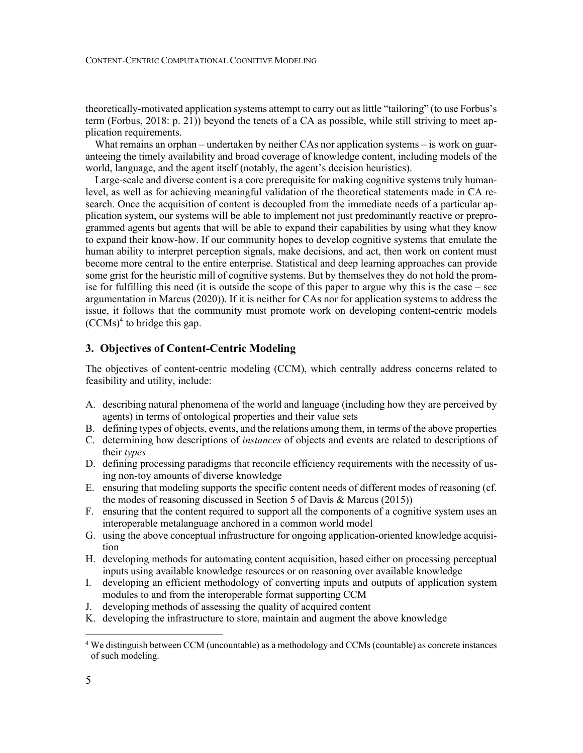theoretically-motivated application systems attempt to carry out as little "tailoring" (to use Forbus's term (Forbus, 2018: p. 21)) beyond the tenets of a CA as possible, while still striving to meet application requirements.

What remains an orphan – undertaken by neither CAs nor application systems – is work on guaranteeing the timely availability and broad coverage of knowledge content, including models of the world, language, and the agent itself (notably, the agent's decision heuristics).

Large-scale and diverse content is a core prerequisite for making cognitive systems truly humanlevel, as well as for achieving meaningful validation of the theoretical statements made in CA research. Once the acquisition of content is decoupled from the immediate needs of a particular application system, our systems will be able to implement not just predominantly reactive or preprogrammed agents but agents that will be able to expand their capabilities by using what they know to expand their know-how. If our community hopes to develop cognitive systems that emulate the human ability to interpret perception signals, make decisions, and act, then work on content must become more central to the entire enterprise. Statistical and deep learning approaches can provide some grist for the heuristic mill of cognitive systems. But by themselves they do not hold the promise for fulfilling this need (it is outside the scope of this paper to argue why this is the case – see argumentation in Marcus (2020)). If it is neither for CAs nor for application systems to address the issue, it follows that the community must promote work on developing content-centric models  $(CCMs)<sup>4</sup>$  to bridge this gap.

# **3. Objectives of Content-Centric Modeling**

The objectives of content-centric modeling (CCM), which centrally address concerns related to feasibility and utility, include:

- A. describing natural phenomena of the world and language (including how they are perceived by agents) in terms of ontological properties and their value sets
- B. defining types of objects, events, and the relations among them, in terms of the above properties
- C. determining how descriptions of *instances* of objects and events are related to descriptions of their *types*
- D. defining processing paradigms that reconcile efficiency requirements with the necessity of using non-toy amounts of diverse knowledge
- E. ensuring that modeling supports the specific content needs of different modes of reasoning (cf. the modes of reasoning discussed in Section 5 of Davis & Marcus (2015))
- F. ensuring that the content required to support all the components of a cognitive system uses an interoperable metalanguage anchored in a common world model
- G. using the above conceptual infrastructure for ongoing application-oriented knowledge acquisition
- H. developing methods for automating content acquisition, based either on processing perceptual inputs using available knowledge resources or on reasoning over available knowledge
- I. developing an efficient methodology of converting inputs and outputs of application system modules to and from the interoperable format supporting CCM
- J. developing methods of assessing the quality of acquired content
- K. developing the infrastructure to store, maintain and augment the above knowledge

 $4$  We distinguish between CCM (uncountable) as a methodology and CCMs (countable) as concrete instances of such modeling.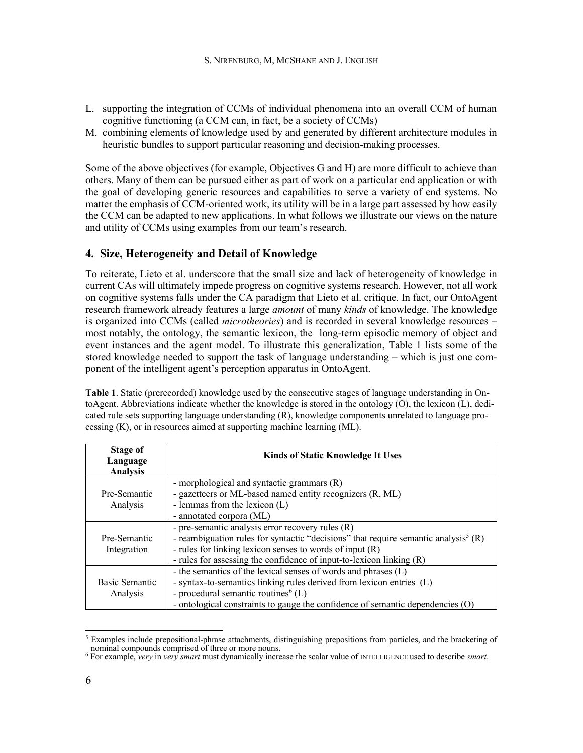- L. supporting the integration of CCMs of individual phenomena into an overall CCM of human cognitive functioning (a CCM can, in fact, be a society of CCMs)
- M. combining elements of knowledge used by and generated by different architecture modules in heuristic bundles to support particular reasoning and decision-making processes.

Some of the above objectives (for example, Objectives G and H) are more difficult to achieve than others. Many of them can be pursued either as part of work on a particular end application or with the goal of developing generic resources and capabilities to serve a variety of end systems. No matter the emphasis of CCM-oriented work, its utility will be in a large part assessed by how easily the CCM can be adapted to new applications. In what follows we illustrate our views on the nature and utility of CCMs using examples from our team's research.

# **4. Size, Heterogeneity and Detail of Knowledge**

To reiterate, Lieto et al. underscore that the small size and lack of heterogeneity of knowledge in current CAs will ultimately impede progress on cognitive systems research. However, not all work on cognitive systems falls under the CA paradigm that Lieto et al. critique. In fact, our OntoAgent research framework already features a large *amount* of many *kinds* of knowledge. The knowledge is organized into CCMs (called *microtheories*) and is recorded in several knowledge resources – most notably, the ontology, the semantic lexicon, the long-term episodic memory of object and event instances and the agent model. To illustrate this generalization, Table 1 lists some of the stored knowledge needed to support the task of language understanding – which is just one component of the intelligent agent's perception apparatus in OntoAgent.

**Table 1**. Static (prerecorded) knowledge used by the consecutive stages of language understanding in OntoAgent. Abbreviations indicate whether the knowledge is stored in the ontology (O), the lexicon (L), dedicated rule sets supporting language understanding (R), knowledge components unrelated to language processing (K), or in resources aimed at supporting machine learning (ML).

| Stage of<br>Language<br><b>Analysis</b> | <b>Kinds of Static Knowledge It Uses</b>                                                                                                                                                                                                                                                  |  |
|-----------------------------------------|-------------------------------------------------------------------------------------------------------------------------------------------------------------------------------------------------------------------------------------------------------------------------------------------|--|
| Pre-Semantic<br>Analysis                | - morphological and syntactic grammars $(R)$<br>- gazetteers or ML-based named entity recognizers (R, ML)<br>- lemmas from the lexicon $(L)$<br>- annotated corpora (ML)                                                                                                                  |  |
| Pre-Semantic<br>Integration             | - pre-semantic analysis error recovery rules (R)<br>- reambiguation rules for syntactic "decisions" that require semantic analysis <sup>5</sup> (R)<br>- rules for linking lexicon senses to words of input $(R)$<br>- rules for assessing the confidence of input-to-lexicon linking (R) |  |
| Basic Semantic<br>Analysis              | - the semantics of the lexical senses of words and phrases (L)<br>- syntax-to-semantics linking rules derived from lexicon entries (L)<br>- procedural semantic routines <sup>6</sup> (L)<br>- ontological constraints to gauge the confidence of semantic dependencies (O)               |  |

<sup>&</sup>lt;sup>5</sup> Examples include prepositional-phrase attachments, distinguishing prepositions from particles, and the bracketing of nominal compounds comprised of three or more nouns.

<sup>6</sup> For example, *very* in *very smart* must dynamically increase the scalar value of INTELLIGENCE used to describe *smart*.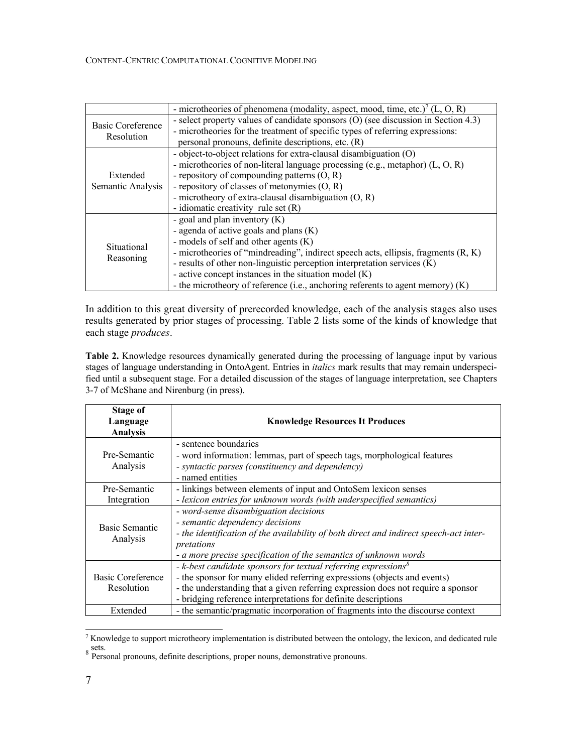|                                        | - microtheories of phenomena (modality, aspect, mood, time, etc.) <sup>7</sup> (L, O, R) |  |  |
|----------------------------------------|------------------------------------------------------------------------------------------|--|--|
| <b>Basic Coreference</b><br>Resolution | - select property values of candidate sponsors (O) (see discussion in Section 4.3)       |  |  |
|                                        | - microtheories for the treatment of specific types of referring expressions:            |  |  |
|                                        | personal pronouns, definite descriptions, etc. (R)                                       |  |  |
|                                        | - object-to-object relations for extra-clausal disambiguation (O)                        |  |  |
|                                        | - microtheories of non-literal language processing (e.g., metaphor) $(L, O, R)$          |  |  |
| Extended                               | - repository of compounding patterns $(O, R)$                                            |  |  |
| Semantic Analysis                      | - repository of classes of metonymies $(O, R)$                                           |  |  |
|                                        | - microtheory of extra-clausal disambiguation $(O, R)$                                   |  |  |
|                                        | - idiomatic creativity rule set $(R)$                                                    |  |  |
| Situational<br>Reasoning               | - goal and plan inventory $(K)$                                                          |  |  |
|                                        | - agenda of active goals and plans (K)                                                   |  |  |
|                                        | - models of self and other agents $(K)$                                                  |  |  |
|                                        | - microtheories of "mindreading", indirect speech acts, ellipsis, fragments (R, K)       |  |  |
|                                        | - results of other non-linguistic perception interpretation services (K)                 |  |  |
|                                        | - active concept instances in the situation model (K)                                    |  |  |
|                                        | - the microtheory of reference (i.e., anchoring referents to agent memory) (K)           |  |  |

In addition to this great diversity of prerecorded knowledge, each of the analysis stages also uses results generated by prior stages of processing. Table 2 lists some of the kinds of knowledge that each stage *produces*.

**Table 2.** Knowledge resources dynamically generated during the processing of language input by various stages of language understanding in OntoAgent. Entries in *italics* mark results that may remain underspecified until a subsequent stage. For a detailed discussion of the stages of language interpretation, see Chapters 3-7 of McShane and Nirenburg (in press).

| <b>Stage of</b><br>Language<br><b>Analysis</b> | <b>Knowledge Resources It Produces</b>                                                                                                                                                                                                                                                                         |  |  |
|------------------------------------------------|----------------------------------------------------------------------------------------------------------------------------------------------------------------------------------------------------------------------------------------------------------------------------------------------------------------|--|--|
| Pre-Semantic<br>Analysis                       | - sentence boundaries<br>- word information: lemmas, part of speech tags, morphological features<br>- syntactic parses (constituency and dependency)<br>- named entities                                                                                                                                       |  |  |
| Pre-Semantic<br>Integration                    | - linkings between elements of input and OntoSem lexicon senses<br>- lexicon entries for unknown words (with underspecified semantics)                                                                                                                                                                         |  |  |
| Basic Semantic<br>Analysis                     | - word-sense disambiguation decisions<br>- semantic dependency decisions<br>- the identification of the availability of both direct and indirect speech-act inter-<br>pretations<br>- a more precise specification of the semantics of unknown words                                                           |  |  |
| Basic Coreference<br>Resolution                | $-$ k-best candidate sponsors for textual referring expressions <sup>8</sup><br>- the sponsor for many elided referring expressions (objects and events)<br>- the understanding that a given referring expression does not require a sponsor<br>- bridging reference interpretations for definite descriptions |  |  |
| Extended                                       | - the semantic/pragmatic incorporation of fragments into the discourse context                                                                                                                                                                                                                                 |  |  |

<sup>7</sup> Knowledge to support microtheory implementation is distributed between the ontology, the lexicon, and dedicated rule sets.<br><sup>8</sup> Personal pronouns, definite descriptions, proper nouns, demonstrative pronouns.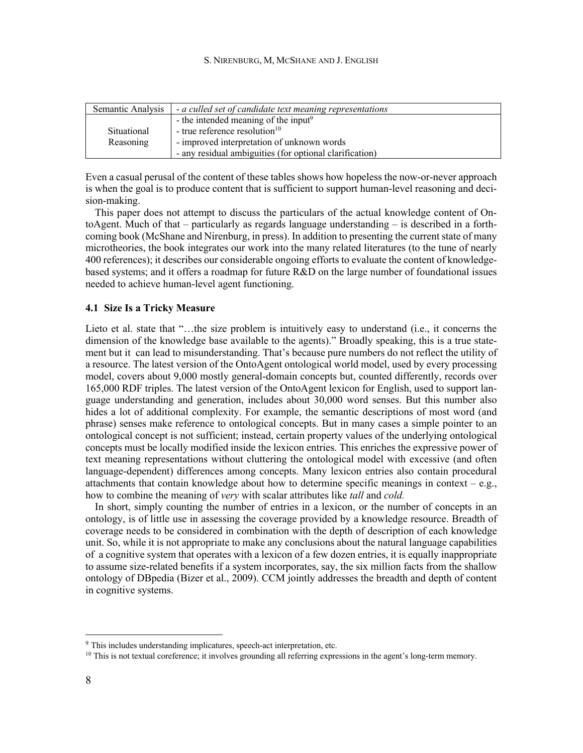| Semantic Analysis | - a culled set of candidate text meaning representations |  |
|-------------------|----------------------------------------------------------|--|
|                   | - the intended meaning of the input <sup>9</sup>         |  |
| Situational       | - true reference resolution $10$                         |  |
| Reasoning         | - improved interpretation of unknown words               |  |
|                   | - any residual ambiguities (for optional clarification)  |  |

Even a casual perusal of the content of these tables shows how hopeless the now-or-never approach is when the goal is to produce content that is sufficient to support human-level reasoning and decision-making.

This paper does not attempt to discuss the particulars of the actual knowledge content of OntoAgent. Much of that – particularly as regards language understanding – is described in a forthcoming book (McShane and Nirenburg, in press). In addition to presenting the current state of many microtheories, the book integrates our work into the many related literatures (to the tune of nearly 400 references); it describes our considerable ongoing efforts to evaluate the content of knowledgebased systems; and it offers a roadmap for future R&D on the large number of foundational issues needed to achieve human-level agent functioning.

#### **4.1 Size Is a Tricky Measure**

Lieto et al. state that "…the size problem is intuitively easy to understand (i.e., it concerns the dimension of the knowledge base available to the agents)." Broadly speaking, this is a true statement but it can lead to misunderstanding. That's because pure numbers do not reflect the utility of a resource. The latest version of the OntoAgent ontological world model, used by every processing model, covers about 9,000 mostly general-domain concepts but, counted differently, records over 165,000 RDF triples. The latest version of the OntoAgent lexicon for English, used to support language understanding and generation, includes about 30,000 word senses. But this number also hides a lot of additional complexity. For example, the semantic descriptions of most word (and phrase) senses make reference to ontological concepts. But in many cases a simple pointer to an ontological concept is not sufficient; instead, certain property values of the underlying ontological concepts must be locally modified inside the lexicon entries. This enriches the expressive power of text meaning representations without cluttering the ontological model with excessive (and often language-dependent) differences among concepts. Many lexicon entries also contain procedural attachments that contain knowledge about how to determine specific meanings in context – e.g., how to combine the meaning of *very* with scalar attributes like *tall* and *cold.* 

In short, simply counting the number of entries in a lexicon, or the number of concepts in an ontology, is of little use in assessing the coverage provided by a knowledge resource. Breadth of coverage needs to be considered in combination with the depth of description of each knowledge unit. So, while it is not appropriate to make any conclusions about the natural language capabilities of a cognitive system that operates with a lexicon of a few dozen entries, it is equally inappropriate to assume size-related benefits if a system incorporates, say, the six million facts from the shallow ontology of DBpedia (Bizer et al., 2009). CCM jointly addresses the breadth and depth of content in cognitive systems.

 $9$  This includes understanding implicatures, speech-act interpretation, etc.

 $10$  This is not textual coreference; it involves grounding all referring expressions in the agent's long-term memory.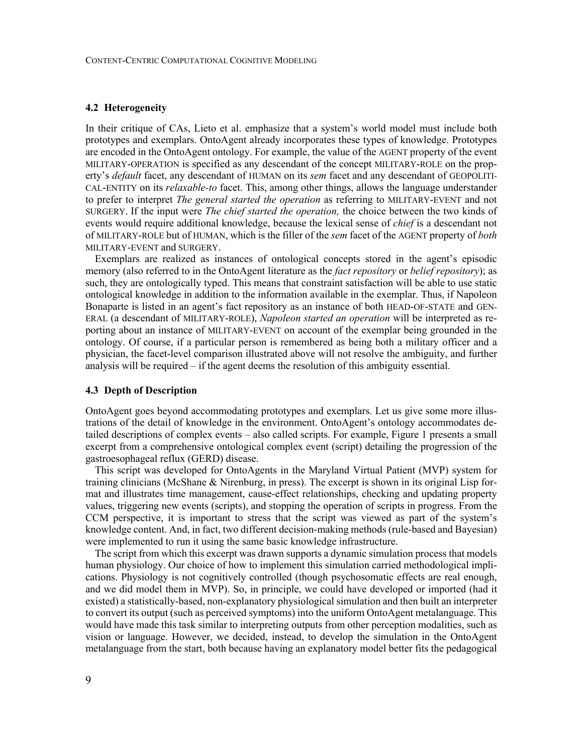#### **4.2 Heterogeneity**

In their critique of CAs, Lieto et al. emphasize that a system's world model must include both prototypes and exemplars. OntoAgent already incorporates these types of knowledge. Prototypes are encoded in the OntoAgent ontology. For example, the value of the AGENT property of the event MILITARY-OPERATION is specified as any descendant of the concept MILITARY-ROLE on the property's *default* facet, any descendant of HUMAN on its *sem* facet and any descendant of GEOPOLITI-CAL-ENTITY on its *relaxable-to* facet. This, among other things, allows the language understander to prefer to interpret *The general started the operation* as referring to MILITARY-EVENT and not SURGERY. If the input were *The chief started the operation,* the choice between the two kinds of events would require additional knowledge, because the lexical sense of *chief* is a descendant not of MILITARY-ROLE but of HUMAN, which is the filler of the *sem* facet of the AGENT property of *both* MILITARY-EVENT and SURGERY.

Exemplars are realized as instances of ontological concepts stored in the agent's episodic memory (also referred to in the OntoAgent literature as the *fact repository* or *belief repository*); as such, they are ontologically typed. This means that constraint satisfaction will be able to use static ontological knowledge in addition to the information available in the exemplar. Thus, if Napoleon Bonaparte is listed in an agent's fact repository as an instance of both HEAD-OF-STATE and GEN-ERAL (a descendant of MILITARY-ROLE), *Napoleon started an operation* will be interpreted as reporting about an instance of MILITARY-EVENT on account of the exemplar being grounded in the ontology. Of course, if a particular person is remembered as being both a military officer and a physician, the facet-level comparison illustrated above will not resolve the ambiguity, and further analysis will be required – if the agent deems the resolution of this ambiguity essential.

#### **4.3 Depth of Description**

OntoAgent goes beyond accommodating prototypes and exemplars. Let us give some more illustrations of the detail of knowledge in the environment. OntoAgent's ontology accommodates detailed descriptions of complex events – also called scripts. For example, Figure 1 presents a small excerpt from a comprehensive ontological complex event (script) detailing the progression of the gastroesophageal reflux (GERD) disease.

This script was developed for OntoAgents in the Maryland Virtual Patient (MVP) system for training clinicians (McShane & Nirenburg, in press). The excerpt is shown in its original Lisp format and illustrates time management, cause-effect relationships, checking and updating property values, triggering new events (scripts), and stopping the operation of scripts in progress. From the CCM perspective, it is important to stress that the script was viewed as part of the system's knowledge content. And, in fact, two different decision-making methods (rule-based and Bayesian) were implemented to run it using the same basic knowledge infrastructure.

The script from which this excerpt was drawn supports a dynamic simulation process that models human physiology. Our choice of how to implement this simulation carried methodological implications. Physiology is not cognitively controlled (though psychosomatic effects are real enough, and we did model them in MVP). So, in principle, we could have developed or imported (had it existed) a statistically-based, non-explanatory physiological simulation and then built an interpreter to convert its output (such as perceived symptoms) into the uniform OntoAgent metalanguage. This would have made this task similar to interpreting outputs from other perception modalities, such as vision or language. However, we decided, instead, to develop the simulation in the OntoAgent metalanguage from the start, both because having an explanatory model better fits the pedagogical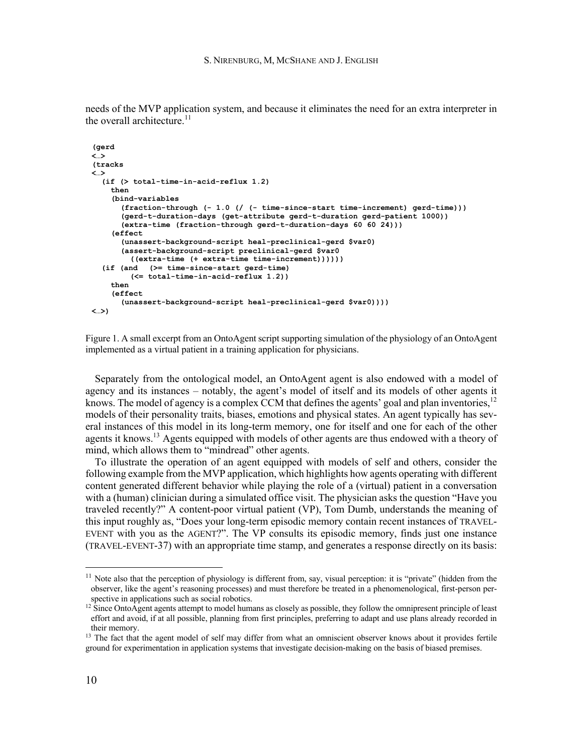needs of the MVP application system, and because it eliminates the need for an extra interpreter in the overall architecture. $11$ 

```
(gerd
<…>
(tracks
<…>
  (if (> total-time-in-acid-reflux 1.2)
    then
    (bind-variables
      (fraction-through (- 1.0 (/ (- time-since-start time-increment) gerd-time)))
      (gerd-t-duration-days (get-attribute gerd-t-duration gerd-patient 1000))
      (extra-time (fraction-through gerd-t-duration-days 60 60 24)))
    (effect
      (unassert-background-script heal-preclinical-gerd $var0)
      (assert-background-script preclinical-gerd $var0
        ((extra-time (+ extra-time time-increment))))))
  (if (and (>= time-since-start gerd-time)
        (<= total-time-in-acid-reflux 1.2))
    then
    (effect
      (unassert-background-script heal-preclinical-gerd $var0))))
<…>)
```
Figure 1. A small excerpt from an OntoAgent script supporting simulation of the physiology of an OntoAgent implemented as a virtual patient in a training application for physicians.

Separately from the ontological model, an OntoAgent agent is also endowed with a model of agency and its instances – notably, the agent's model of itself and its models of other agents it knows. The model of agency is a complex CCM that defines the agents' goal and plan inventories, <sup>12</sup> models of their personality traits, biases, emotions and physical states. An agent typically has several instances of this model in its long-term memory, one for itself and one for each of the other agents it knows.<sup>13</sup> Agents equipped with models of other agents are thus endowed with a theory of mind, which allows them to "mindread" other agents.

To illustrate the operation of an agent equipped with models of self and others, consider the following example from the MVP application, which highlights how agents operating with different content generated different behavior while playing the role of a (virtual) patient in a conversation with a (human) clinician during a simulated office visit. The physician asks the question "Have you traveled recently?" A content-poor virtual patient (VP), Tom Dumb, understands the meaning of this input roughly as, "Does your long-term episodic memory contain recent instances of TRAVEL-EVENT with you as the AGENT?". The VP consults its episodic memory, finds just one instance (TRAVEL-EVENT-37) with an appropriate time stamp, and generates a response directly on its basis:

<sup>&</sup>lt;sup>11</sup> Note also that the perception of physiology is different from, say, visual perception: it is "private" (hidden from the observer, like the agent's reasoning processes) and must therefore be treated in a phenomenological, first-person perspective in applications such as social robotics.

 $12 \text{ Since OntoAgent agents attempt to model humans as closely as possible, they follow the omnipresent principle of least.}$ effort and avoid, if at all possible, planning from first principles, preferring to adapt and use plans already recorded in their memory.

<sup>&</sup>lt;sup>13</sup> The fact that the agent model of self may differ from what an omniscient observer knows about it provides fertile ground for experimentation in application systems that investigate decision-making on the basis of biased premises.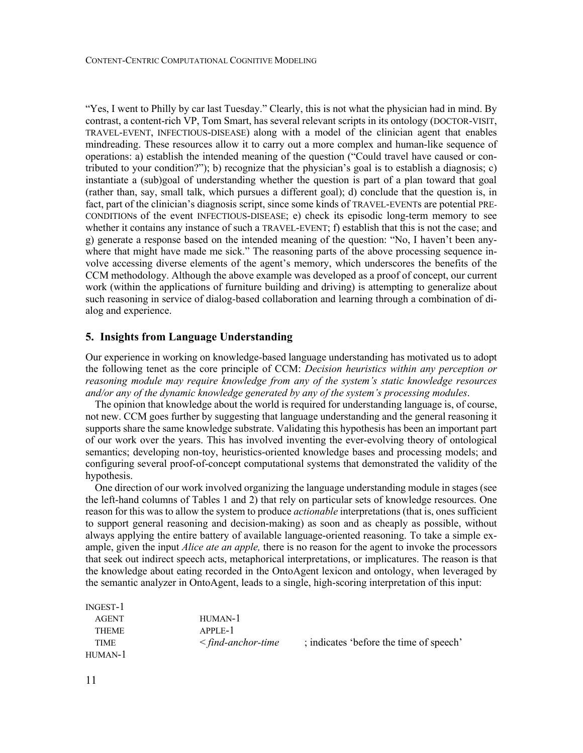CONTENT-CENTRIC COMPUTATIONAL COGNITIVE MODELING

"Yes, I went to Philly by car last Tuesday." Clearly, this is not what the physician had in mind. By contrast, a content-rich VP, Tom Smart, has several relevant scripts in its ontology (DOCTOR-VISIT, TRAVEL-EVENT, INFECTIOUS-DISEASE) along with a model of the clinician agent that enables mindreading. These resources allow it to carry out a more complex and human-like sequence of operations: a) establish the intended meaning of the question ("Could travel have caused or contributed to your condition?"); b) recognize that the physician's goal is to establish a diagnosis; c) instantiate a (sub)goal of understanding whether the question is part of a plan toward that goal (rather than, say, small talk, which pursues a different goal); d) conclude that the question is, in fact, part of the clinician's diagnosis script, since some kinds of TRAVEL-EVENTs are potential PRE-CONDITIONs of the event INFECTIOUS-DISEASE; e) check its episodic long-term memory to see whether it contains any instance of such a TRAVEL-EVENT; f) establish that this is not the case; and g) generate a response based on the intended meaning of the question: "No, I haven't been anywhere that might have made me sick." The reasoning parts of the above processing sequence involve accessing diverse elements of the agent's memory, which underscores the benefits of the CCM methodology. Although the above example was developed as a proof of concept, our current work (within the applications of furniture building and driving) is attempting to generalize about such reasoning in service of dialog-based collaboration and learning through a combination of dialog and experience.

# **5. Insights from Language Understanding**

Our experience in working on knowledge-based language understanding has motivated us to adopt the following tenet as the core principle of CCM: *Decision heuristics within any perception or reasoning module may require knowledge from any of the system's static knowledge resources and/or any of the dynamic knowledge generated by any of the system's processing modules*.

The opinion that knowledge about the world is required for understanding language is, of course, not new. CCM goes further by suggesting that language understanding and the general reasoning it supports share the same knowledge substrate. Validating this hypothesis has been an important part of our work over the years. This has involved inventing the ever-evolving theory of ontological semantics; developing non-toy, heuristics-oriented knowledge bases and processing models; and configuring several proof-of-concept computational systems that demonstrated the validity of the hypothesis.

One direction of our work involved organizing the language understanding module in stages (see the left-hand columns of Tables 1 and 2) that rely on particular sets of knowledge resources. One reason for this was to allow the system to produce *actionable* interpretations (that is, ones sufficient to support general reasoning and decision-making) as soon and as cheaply as possible, without always applying the entire battery of available language-oriented reasoning. To take a simple example, given the input *Alice ate an apple,* there is no reason for the agent to invoke the processors that seek out indirect speech acts, metaphorical interpretations, or implicatures. The reason is that the knowledge about eating recorded in the OntoAgent lexicon and ontology, when leveraged by the semantic analyzer in OntoAgent, leads to a single, high-scoring interpretation of this input:

| INGEST-T     |                         |                                         |
|--------------|-------------------------|-----------------------------------------|
| <b>AGENT</b> | $HIMAN-1$               |                                         |
| <b>THEME</b> | $APPLE-1$               |                                         |
| <b>TIME</b>  | $\leq$ find-anchor-time | ; indicates 'before the time of speech' |
| HUMAN-1      |                         |                                         |

 $P$ Ionam 1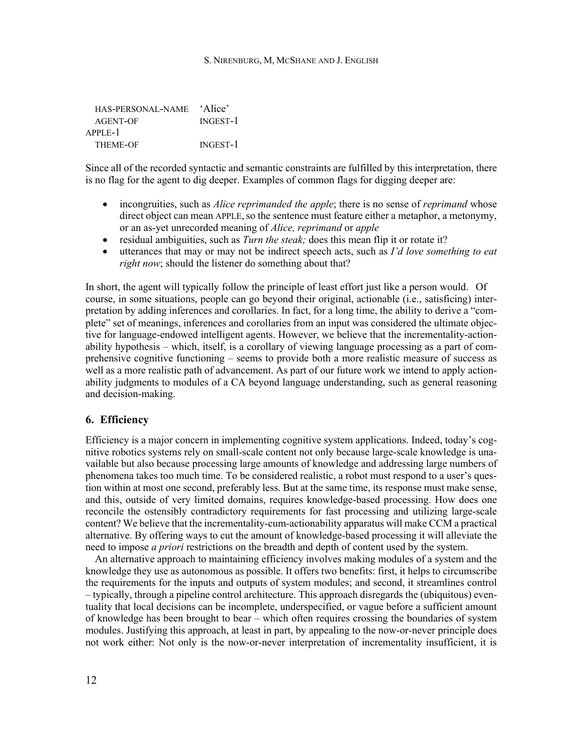| HAS-PERSONAL-NAME | 'Alice'         |
|-------------------|-----------------|
| AGENT-OF          | <b>INGEST-1</b> |
| $APPLE-1$         |                 |
| <b>THEME-OF</b>   | INGEST-1        |

Since all of the recorded syntactic and semantic constraints are fulfilled by this interpretation, there is no flag for the agent to dig deeper. Examples of common flags for digging deeper are:

- incongruities, such as *Alice reprimanded the apple*; there is no sense of *reprimand* whose direct object can mean APPLE, so the sentence must feature either a metaphor, a metonymy, or an as-yet unrecorded meaning of *Alice, reprimand* or *apple*
- residual ambiguities, such as *Turn the steak;* does this mean flip it or rotate it?
- utterances that may or may not be indirect speech acts, such as *I'd love something to eat right now*; should the listener do something about that?

In short, the agent will typically follow the principle of least effort just like a person would. Of course, in some situations, people can go beyond their original, actionable (i.e., satisficing) interpretation by adding inferences and corollaries. In fact, for a long time, the ability to derive a "complete" set of meanings, inferences and corollaries from an input was considered the ultimate objective for language-endowed intelligent agents. However, we believe that the incrementality-actionability hypothesis – which, itself, is a corollary of viewing language processing as a part of comprehensive cognitive functioning – seems to provide both a more realistic measure of success as well as a more realistic path of advancement. As part of our future work we intend to apply actionability judgments to modules of a CA beyond language understanding, such as general reasoning and decision-making.

# **6. Efficiency**

Efficiency is a major concern in implementing cognitive system applications. Indeed, today's cognitive robotics systems rely on small-scale content not only because large-scale knowledge is unavailable but also because processing large amounts of knowledge and addressing large numbers of phenomena takes too much time. To be considered realistic, a robot must respond to a user's question within at most one second, preferably less. But at the same time, its response must make sense, and this, outside of very limited domains, requires knowledge-based processing. How does one reconcile the ostensibly contradictory requirements for fast processing and utilizing large-scale content? We believe that the incrementality-cum-actionability apparatus will make CCM a practical alternative. By offering ways to cut the amount of knowledge-based processing it will alleviate the need to impose *a priori* restrictions on the breadth and depth of content used by the system.

An alternative approach to maintaining efficiency involves making modules of a system and the knowledge they use as autonomous as possible. It offers two benefits: first, it helps to circumscribe the requirements for the inputs and outputs of system modules; and second, it streamlines control – typically, through a pipeline control architecture. This approach disregards the (ubiquitous) eventuality that local decisions can be incomplete, underspecified, or vague before a sufficient amount of knowledge has been brought to bear – which often requires crossing the boundaries of system modules. Justifying this approach, at least in part, by appealing to the now-or-never principle does not work either: Not only is the now-or-never interpretation of incrementality insufficient, it is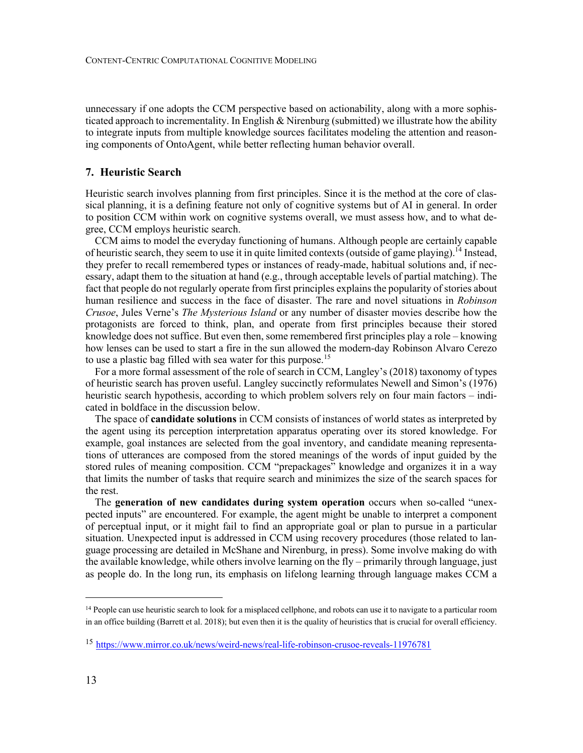unnecessary if one adopts the CCM perspective based on actionability, along with a more sophisticated approach to incrementality. In English & Nirenburg (submitted) we illustrate how the ability to integrate inputs from multiple knowledge sources facilitates modeling the attention and reasoning components of OntoAgent, while better reflecting human behavior overall.

# **7. Heuristic Search**

Heuristic search involves planning from first principles. Since it is the method at the core of classical planning, it is a defining feature not only of cognitive systems but of AI in general. In order to position CCM within work on cognitive systems overall, we must assess how, and to what degree, CCM employs heuristic search.

CCM aims to model the everyday functioning of humans. Although people are certainly capable of heuristic search, they seem to use it in quite limited contexts (outside of game playing).<sup>14</sup> Instead, they prefer to recall remembered types or instances of ready-made, habitual solutions and, if necessary, adapt them to the situation at hand (e.g., through acceptable levels of partial matching). The fact that people do not regularly operate from first principles explains the popularity of stories about human resilience and success in the face of disaster. The rare and novel situations in *Robinson Crusoe*, Jules Verne's *The Mysterious Island* or any number of disaster movies describe how the protagonists are forced to think, plan, and operate from first principles because their stored knowledge does not suffice. But even then, some remembered first principles play a role – knowing how lenses can be used to start a fire in the sun allowed the modern-day Robinson Alvaro Cerezo to use a plastic bag filled with sea water for this purpose.<sup>15</sup>

For a more formal assessment of the role of search in CCM, Langley's (2018) taxonomy of types of heuristic search has proven useful. Langley succinctly reformulates Newell and Simon's (1976) heuristic search hypothesis, according to which problem solvers rely on four main factors – indicated in boldface in the discussion below.

The space of **candidate solutions** in CCM consists of instances of world states as interpreted by the agent using its perception interpretation apparatus operating over its stored knowledge. For example, goal instances are selected from the goal inventory, and candidate meaning representations of utterances are composed from the stored meanings of the words of input guided by the stored rules of meaning composition. CCM "prepackages" knowledge and organizes it in a way that limits the number of tasks that require search and minimizes the size of the search spaces for the rest.

The **generation of new candidates during system operation** occurs when so-called "unexpected inputs" are encountered. For example, the agent might be unable to interpret a component of perceptual input, or it might fail to find an appropriate goal or plan to pursue in a particular situation. Unexpected input is addressed in CCM using recovery procedures (those related to language processing are detailed in McShane and Nirenburg, in press). Some involve making do with the available knowledge, while others involve learning on the fly – primarily through language, just as people do. In the long run, its emphasis on lifelong learning through language makes CCM a

<sup>&</sup>lt;sup>14</sup> People can use heuristic search to look for a misplaced cellphone, and robots can use it to navigate to a particular room in an office building (Barrett et al. 2018); but even then it is the quality of heuristics that is crucial for overall efficiency.

<sup>15</sup> https://www.mirror.co.uk/news/weird-news/real-life-robinson-crusoe-reveals-11976781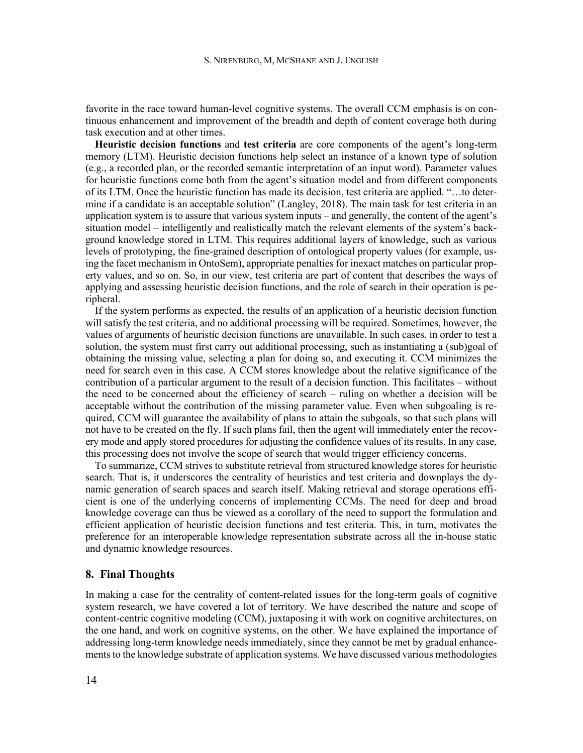favorite in the race toward human-level cognitive systems. The overall CCM emphasis is on continuous enhancement and improvement of the breadth and depth of content coverage both during task execution and at other times.

**Heuristic decision functions** and **test criteria** are core components of the agent's long-term memory (LTM). Heuristic decision functions help select an instance of a known type of solution (e.g., a recorded plan, or the recorded semantic interpretation of an input word). Parameter values for heuristic functions come both from the agent's situation model and from different components of its LTM. Once the heuristic function has made its decision, test criteria are applied. "…to determine if a candidate is an acceptable solution" (Langley, 2018). The main task for test criteria in an application system is to assure that various system inputs – and generally, the content of the agent's situation model – intelligently and realistically match the relevant elements of the system's background knowledge stored in LTM. This requires additional layers of knowledge, such as various levels of prototyping, the fine-grained description of ontological property values (for example, using the facet mechanism in OntoSem), appropriate penalties for inexact matches on particular property values, and so on. So, in our view, test criteria are part of content that describes the ways of applying and assessing heuristic decision functions, and the role of search in their operation is peripheral.

If the system performs as expected, the results of an application of a heuristic decision function will satisfy the test criteria, and no additional processing will be required. Sometimes, however, the values of arguments of heuristic decision functions are unavailable. In such cases, in order to test a solution, the system must first carry out additional processing, such as instantiating a (sub)goal of obtaining the missing value, selecting a plan for doing so, and executing it. CCM minimizes the need for search even in this case. A CCM stores knowledge about the relative significance of the contribution of a particular argument to the result of a decision function. This facilitates – without the need to be concerned about the efficiency of search – ruling on whether a decision will be acceptable without the contribution of the missing parameter value. Even when subgoaling is required, CCM will guarantee the availability of plans to attain the subgoals, so that such plans will not have to be created on the fly. If such plans fail, then the agent will immediately enter the recovery mode and apply stored procedures for adjusting the confidence values of its results. In any case, this processing does not involve the scope of search that would trigger efficiency concerns.

To summarize, CCM strives to substitute retrieval from structured knowledge stores for heuristic search. That is, it underscores the centrality of heuristics and test criteria and downplays the dynamic generation of search spaces and search itself. Making retrieval and storage operations efficient is one of the underlying concerns of implementing CCMs. The need for deep and broad knowledge coverage can thus be viewed as a corollary of the need to support the formulation and efficient application of heuristic decision functions and test criteria. This, in turn, motivates the preference for an interoperable knowledge representation substrate across all the in-house static and dynamic knowledge resources.

# **8. Final Thoughts**

In making a case for the centrality of content-related issues for the long-term goals of cognitive system research, we have covered a lot of territory. We have described the nature and scope of content-centric cognitive modeling (CCM), juxtaposing it with work on cognitive architectures, on the one hand, and work on cognitive systems, on the other. We have explained the importance of addressing long-term knowledge needs immediately, since they cannot be met by gradual enhancements to the knowledge substrate of application systems. We have discussed various methodologies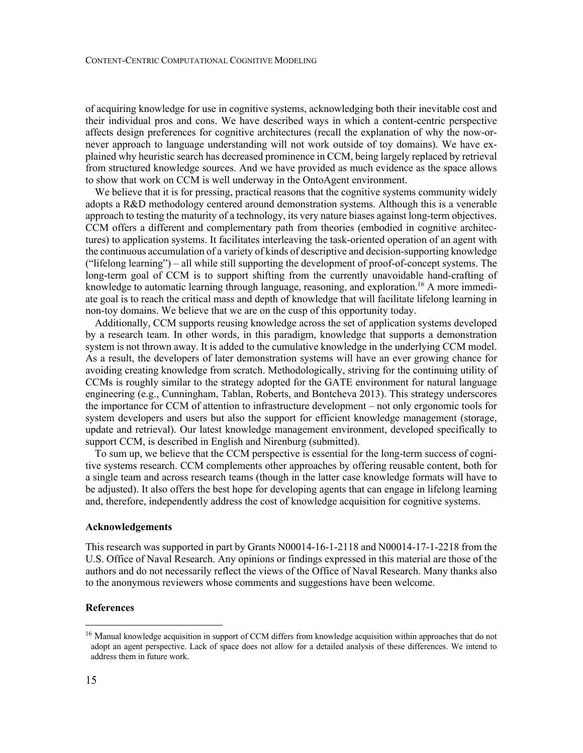of acquiring knowledge for use in cognitive systems, acknowledging both their inevitable cost and their individual pros and cons. We have described ways in which a content-centric perspective affects design preferences for cognitive architectures (recall the explanation of why the now-ornever approach to language understanding will not work outside of toy domains). We have explained why heuristic search has decreased prominence in CCM, being largely replaced by retrieval from structured knowledge sources. And we have provided as much evidence as the space allows to show that work on CCM is well underway in the OntoAgent environment.

We believe that it is for pressing, practical reasons that the cognitive systems community widely adopts a R&D methodology centered around demonstration systems. Although this is a venerable approach to testing the maturity of a technology, its very nature biases against long-term objectives. CCM offers a different and complementary path from theories (embodied in cognitive architectures) to application systems. It facilitates interleaving the task-oriented operation of an agent with the continuous accumulation of a variety of kinds of descriptive and decision-supporting knowledge ("lifelong learning") – all while still supporting the development of proof-of-concept systems. The long-term goal of CCM is to support shifting from the currently unavoidable hand-crafting of knowledge to automatic learning through language, reasoning, and exploration.<sup>16</sup> A more immediate goal is to reach the critical mass and depth of knowledge that will facilitate lifelong learning in non-toy domains. We believe that we are on the cusp of this opportunity today.

Additionally, CCM supports reusing knowledge across the set of application systems developed by a research team. In other words, in this paradigm, knowledge that supports a demonstration system is not thrown away. It is added to the cumulative knowledge in the underlying CCM model. As a result, the developers of later demonstration systems will have an ever growing chance for avoiding creating knowledge from scratch. Methodologically, striving for the continuing utility of CCMs is roughly similar to the strategy adopted for the GATE environment for natural language engineering (e.g., Cunningham, Tablan, Roberts, and Bontcheva 2013). This strategy underscores the importance for CCM of attention to infrastructure development – not only ergonomic tools for system developers and users but also the support for efficient knowledge management (storage, update and retrieval). Our latest knowledge management environment, developed specifically to support CCM, is described in English and Nirenburg (submitted).

To sum up, we believe that the CCM perspective is essential for the long-term success of cognitive systems research. CCM complements other approaches by offering reusable content, both for a single team and across research teams (though in the latter case knowledge formats will have to be adjusted). It also offers the best hope for developing agents that can engage in lifelong learning and, therefore, independently address the cost of knowledge acquisition for cognitive systems.

#### **Acknowledgements**

This research was supported in part by Grants N00014-16-1-2118 and N00014-17-1-2218 from the U.S. Office of Naval Research. Any opinions or findings expressed in this material are those of the authors and do not necessarily reflect the views of the Office of Naval Research. Many thanks also to the anonymous reviewers whose comments and suggestions have been welcome.

#### **References**

<sup>&</sup>lt;sup>16</sup> Manual knowledge acquisition in support of CCM differs from knowledge acquisition within approaches that do not adopt an agent perspective. Lack of space does not allow for a detailed analysis of these differences. We intend to address them in future work.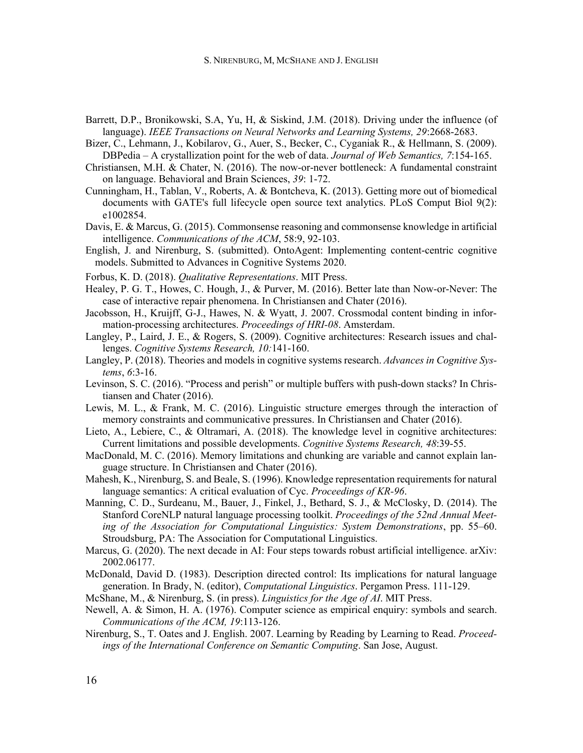- Barrett, D.P., Bronikowski, S.A, Yu, H, & Siskind, J.M. (2018). Driving under the influence (of language). *IEEE Transactions on Neural Networks and Learning Systems, 29*:2668-2683.
- Bizer, C., Lehmann, J., Kobilarov, G., Auer, S., Becker, C., Cyganiak R., & Hellmann, S. (2009). DBPedia – A crystallization point for the web of data. *Journal of Web Semantics, 7*:154-165.
- Christiansen, M.H. & Chater, N. (2016). The now-or-never bottleneck: A fundamental constraint on language. Behavioral and Brain Sciences, *39*: 1-72.
- Cunningham, H., Tablan, V., Roberts, A. & Bontcheva, K. (2013). Getting more out of biomedical documents with GATE's full lifecycle open source text analytics. PLoS Comput Biol 9(2): e1002854.
- Davis, E. & Marcus, G. (2015). Commonsense reasoning and commonsense knowledge in artificial intelligence. *Communications of the ACM*, 58:9, 92-103.
- English, J. and Nirenburg, S. (submitted). OntoAgent: Implementing content-centric cognitive models. Submitted to Advances in Cognitive Systems 2020.
- Forbus, K. D. (2018). *Qualitative Representations*. MIT Press.
- Healey, P. G. T., Howes, C. Hough, J., & Purver, M. (2016). Better late than Now-or-Never: The case of interactive repair phenomena. In Christiansen and Chater (2016).
- Jacobsson, H., Kruijff, G-J., Hawes, N. & Wyatt, J. 2007. Crossmodal content binding in information-processing architectures. *Proceedings of HRI-08*. Amsterdam.
- Langley, P., Laird, J. E., & Rogers, S. (2009). Cognitive architectures: Research issues and challenges. *Cognitive Systems Research, 10:*141-160.
- Langley, P. (2018). Theories and models in cognitive systems research. *Advances in Cognitive Systems*, *6*:3-16.
- Levinson, S. C. (2016). "Process and perish" or multiple buffers with push-down stacks? In Christiansen and Chater (2016).
- Lewis, M. L., & Frank, M. C. (2016). Linguistic structure emerges through the interaction of memory constraints and communicative pressures. In Christiansen and Chater (2016).
- Lieto, A., Lebiere, C., & Oltramari, A. (2018). The knowledge level in cognitive architectures: Current limitations and possible developments. *Cognitive Systems Research, 48*:39-55.
- MacDonald, M. C. (2016). Memory limitations and chunking are variable and cannot explain language structure. In Christiansen and Chater (2016).
- Mahesh, K., Nirenburg, S. and Beale, S. (1996). Knowledge representation requirements for natural language semantics: A critical evaluation of Cyc. *Proceedings of KR-96*.
- Manning, C. D., Surdeanu, M., Bauer, J., Finkel, J., Bethard, S. J., & McClosky, D. (2014). The Stanford CoreNLP natural language processing toolkit. *Proceedings of the 52nd Annual Meeting of the Association for Computational Linguistics: System Demonstrations*, pp. 55–60. Stroudsburg, PA: The Association for Computational Linguistics.
- Marcus, G. (2020). The next decade in AI: Four steps towards robust artificial intelligence. arXiv: 2002.06177.
- McDonald, David D. (1983). Description directed control: Its implications for natural language generation. In Brady, N. (editor), *Computational Linguistics*. Pergamon Press. 111-129.
- McShane, M., & Nirenburg, S. (in press). *Linguistics for the Age of AI*. MIT Press.
- Newell, A. & Simon, H. A. (1976). Computer science as empirical enquiry: symbols and search. *Communications of the ACM, 19*:113-126.
- Nirenburg, S., T. Oates and J. English. 2007. Learning by Reading by Learning to Read. *Proceedings of the International Conference on Semantic Computing*. San Jose, August.